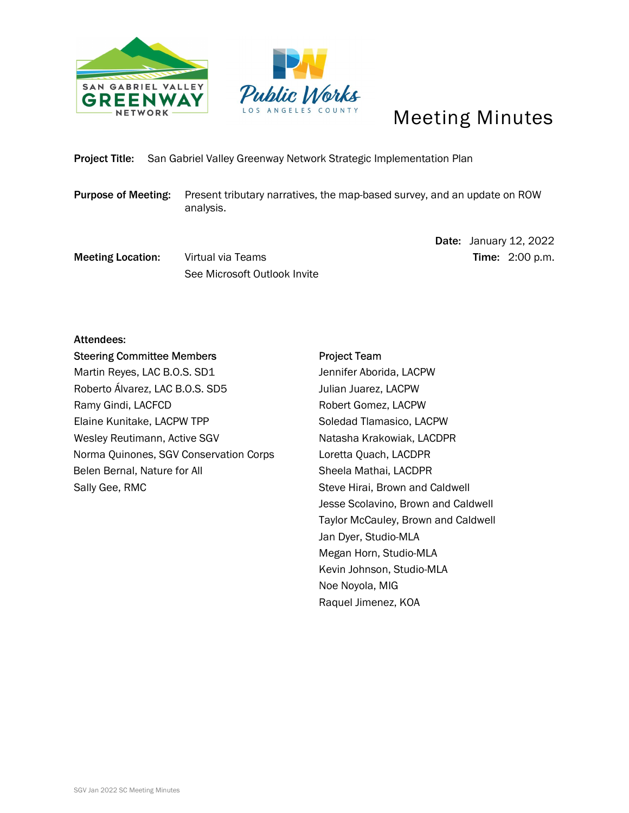



# Meeting Minutes

Project Title: San Gabriel Valley Greenway Network Strategic Implementation Plan

Purpose of Meeting: Present tributary narratives, the map-based survey, and an update on ROW analysis.

**Meeting Location:** Virtual via Teams Time: 2:00 p.m. See Microsoft Outlook Invite

Date: January 12, 2022

# Attendees:

Steering Committee Members Martin Reyes, LAC B.O.S. SD1 Roberto Álvarez, LAC B.O.S. SD5 Ramy Gindi, LACFCD Elaine Kunitake, LACPW TPP Wesley Reutimann, Active SGV Norma Quinones, SGV Conservation Corps Belen Bernal, Nature for All Sally Gee, RMC

# Project Team

Jennifer Aborida, LACPW Julian Juarez, LACPW Robert Gomez, LACPW Soledad Tlamasico, LACPW Natasha Krakowiak, LACDPR Loretta Quach, LACDPR Sheela Mathai, LACDPR Steve Hirai, Brown and Caldwell Jesse Scolavino, Brown and Caldwell Taylor McCauley, Brown and Caldwell Jan Dyer, Studio-MLA Megan Horn, Studio-MLA Kevin Johnson, Studio-MLA Noe Noyola, MIG Raquel Jimenez, KOA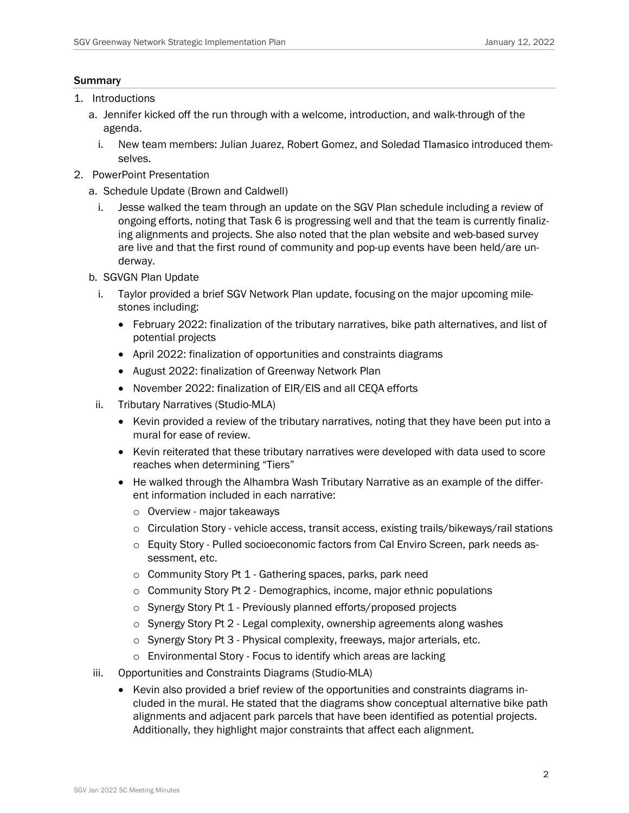### Summary

- 1. Introductions
	- a. Jennifer kicked off the run through with a welcome, introduction, and walk-through of the agenda.
		- i. New team members: Julian Juarez, Robert Gomez, and Soledad Tlamasico introduced themselves.
- 2. PowerPoint Presentation
	- a. Schedule Update (Brown and Caldwell)
		- i. Jesse walked the team through an update on the SGV Plan schedule including a review of ongoing efforts, noting that Task 6 is progressing well and that the team is currently finalizing alignments and projects. She also noted that the plan website and web-based survey are live and that the first round of community and pop-up events have been held/are underway.
	- b. SGVGN Plan Update
		- i. Taylor provided a brief SGV Network Plan update, focusing on the major upcoming milestones including:
			- February 2022: finalization of the tributary narratives, bike path alternatives, and list of potential projects
			- April 2022: finalization of opportunities and constraints diagrams
			- August 2022: finalization of Greenway Network Plan
			- November 2022: finalization of EIR/EIS and all CEQA efforts
	- ii. Tributary Narratives (Studio-MLA)
		- Kevin provided a review of the tributary narratives, noting that they have been put into a mural for ease of review.
		- Kevin reiterated that these tributary narratives were developed with data used to score reaches when determining "Tiers"
		- He walked through the Alhambra Wash Tributary Narrative as an example of the different information included in each narrative:
			- o Overview major takeaways
			- o Circulation Story vehicle access, transit access, existing trails/bikeways/rail stations
			- o Equity Story Pulled socioeconomic factors from Cal Enviro Screen, park needs assessment, etc.
			- o Community Story Pt 1 Gathering spaces, parks, park need
			- $\circ$  Community Story Pt 2 Demographics, income, major ethnic populations
			- o Synergy Story Pt 1 Previously planned efforts/proposed projects
			- $\circ$  Synergy Story Pt 2 Legal complexity, ownership agreements along washes
			- o Synergy Story Pt 3 Physical complexity, freeways, major arterials, etc.
			- o Environmental Story Focus to identify which areas are lacking
	- iii. Opportunities and Constraints Diagrams (Studio-MLA)
		- Kevin also provided a brief review of the opportunities and constraints diagrams included in the mural. He stated that the diagrams show conceptual alternative bike path alignments and adjacent park parcels that have been identified as potential projects. Additionally, they highlight major constraints that affect each alignment.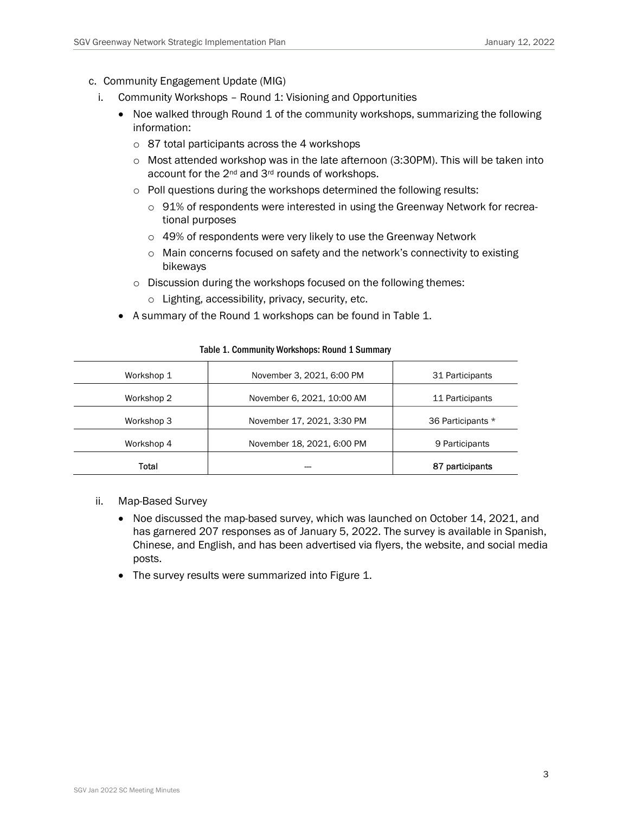- c. Community Engagement Update (MIG)
	- i. Community Workshops Round 1: Visioning and Opportunities
		- Noe walked through Round 1 of the community workshops, summarizing the following information:
			- o 87 total participants across the 4 workshops
			- $\circ$  Most attended workshop was in the late afternoon (3:30PM). This will be taken into account for the 2<sup>nd</sup> and 3<sup>rd</sup> rounds of workshops.
			- o Poll questions during the workshops determined the following results:
				- $\circ$  91% of respondents were interested in using the Greenway Network for recreational purposes
				- o 49% of respondents were very likely to use the Greenway Network
				- o Main concerns focused on safety and the network's connectivity to existing bikeways
			- o Discussion during the workshops focused on the following themes:
				- o Lighting, accessibility, privacy, security, etc.
		- A summary of the Round 1 workshops can be found in Table 1.

| Workshop 1 | November 3, 2021, 6:00 PM  | 31 Participants   |  |
|------------|----------------------------|-------------------|--|
| Workshop 2 | November 6, 2021, 10:00 AM | 11 Participants   |  |
| Workshop 3 | November 17, 2021, 3:30 PM | 36 Participants * |  |
| Workshop 4 | November 18, 2021, 6:00 PM | 9 Participants    |  |
| Total      |                            | 87 participants   |  |

#### Table 1. Community Workshops: Round 1 Summary

- ii. Map-Based Survey
	- Noe discussed the map-based survey, which was launched on October 14, 2021, and has garnered 207 responses as of January 5, 2022. The survey is available in Spanish, Chinese, and English, and has been advertised via flyers, the website, and social media posts.
	- The survey results were summarized into Figure 1.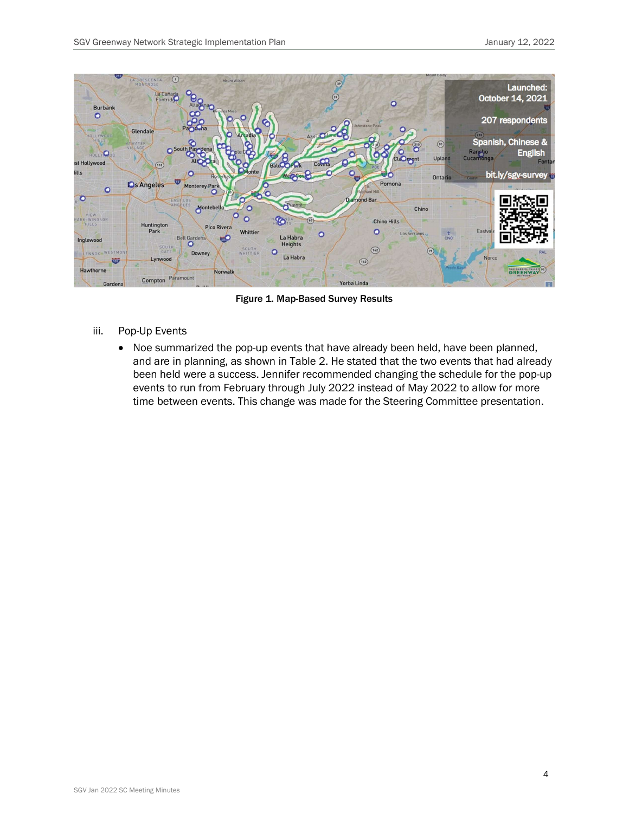

Figure 1. Map-Based Survey Results

- iii. Pop-Up Events
	- Noe summarized the pop-up events that have already been held, have been planned, and are in planning, as shown in Table 2. He stated that the two events that had already been held were a success. Jennifer recommended changing the schedule for the pop-up events to run from February through July 2022 instead of May 2022 to allow for more time between events. This change was made for the Steering Committee presentation.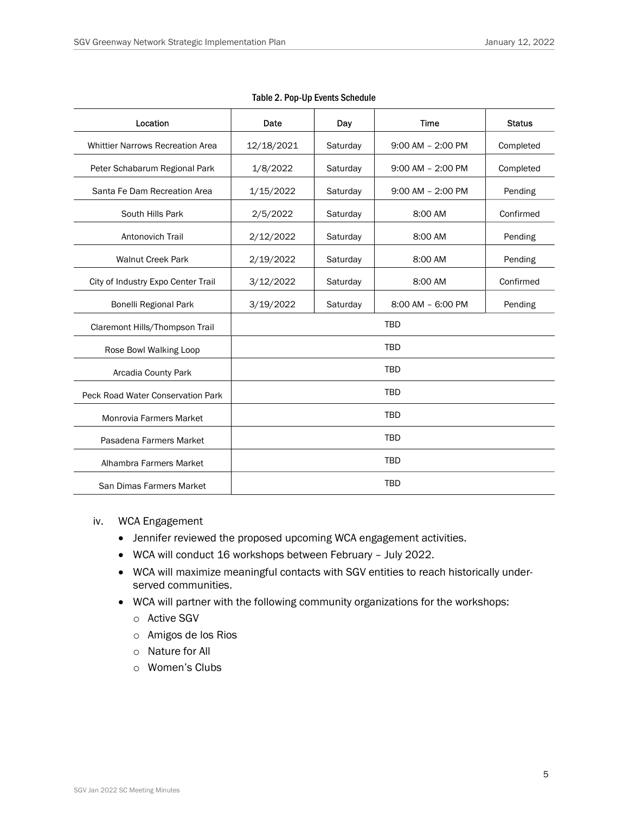| Location                                | Date       | Day      | <b>Time</b>           | <b>Status</b> |
|-----------------------------------------|------------|----------|-----------------------|---------------|
|                                         |            |          |                       |               |
| <b>Whittier Narrows Recreation Area</b> | 12/18/2021 | Saturday | $9:00$ AM $- 2:00$ PM | Completed     |
| Peter Schabarum Regional Park           | 1/8/2022   | Saturday | $9:00$ AM $-2:00$ PM  | Completed     |
| Santa Fe Dam Recreation Area            | 1/15/2022  | Saturday | $9:00$ AM $- 2:00$ PM | Pending       |
| South Hills Park                        | 2/5/2022   | Saturday | 8:00 AM               | Confirmed     |
| Antonovich Trail                        | 2/12/2022  | Saturday | 8:00 AM               | Pending       |
| <b>Walnut Creek Park</b>                | 2/19/2022  | Saturday | 8:00 AM               | Pending       |
| City of Industry Expo Center Trail      | 3/12/2022  | Saturday | 8:00 AM               | Confirmed     |
| Bonelli Regional Park                   | 3/19/2022  | Saturday | 8:00 AM - 6:00 PM     | Pending       |
| Claremont Hills/Thompson Trail          | <b>TBD</b> |          |                       |               |
| Rose Bowl Walking Loop                  | <b>TBD</b> |          |                       |               |
| Arcadia County Park                     | <b>TBD</b> |          |                       |               |
| Peck Road Water Conservation Park       | <b>TBD</b> |          |                       |               |
| <b>Monrovia Farmers Market</b>          | <b>TBD</b> |          |                       |               |
| Pasadena Farmers Market                 | <b>TBD</b> |          |                       |               |
| Alhambra Farmers Market                 | <b>TBD</b> |          |                       |               |
| San Dimas Farmers Market                | <b>TBD</b> |          |                       |               |

#### Table 2. Pop-Up Events Schedule

#### iv. WCA Engagement

- Jennifer reviewed the proposed upcoming WCA engagement activities.
- WCA will conduct 16 workshops between February July 2022.
- WCA will maximize meaningful contacts with SGV entities to reach historically underserved communities.
- WCA will partner with the following community organizations for the workshops:
	- o Active SGV
	- o Amigos de los Rios
	- o Nature for All
	- o Women's Clubs